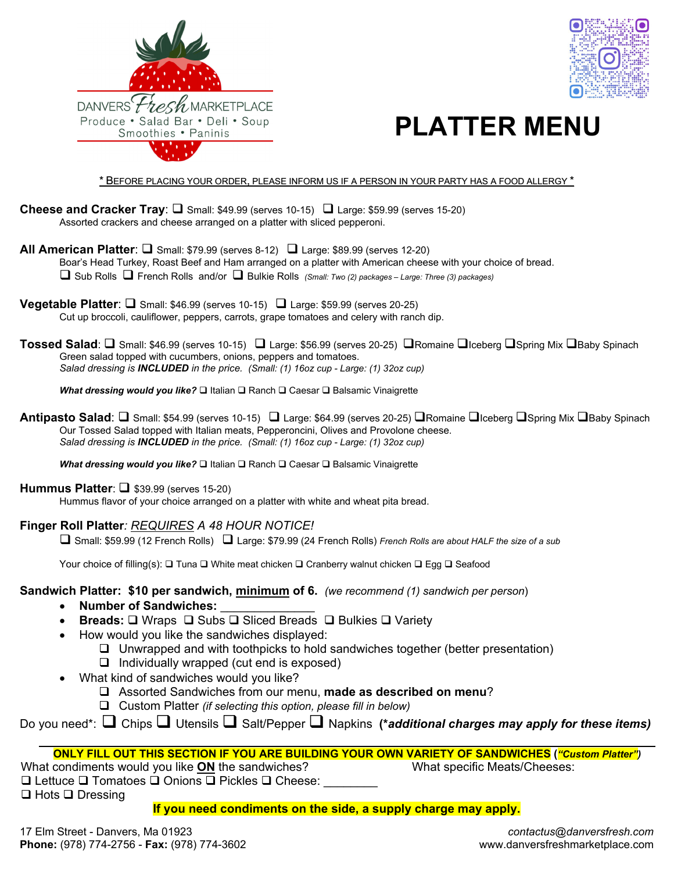



## **PLATTER MENU**

\* BEFORE PLACING YOUR ORDER, PLEASE INFORM US IF A PERSON IN YOUR PARTY HAS A FOOD ALLERGY \*

- **Cheese and Cracker Tray:**  $\Box$  Small: \$49.99 (serves 10-15)  $\Box$  Large: \$59.99 (serves 15-20) Assorted crackers and cheese arranged on a platter with sliced pepperoni.
- **All American Platter:**  $\Box$  Small: \$79.99 (serves 8-12)  $\Box$  Large: \$89.99 (serves 12-20) Boar's Head Turkey, Roast Beef and Ham arranged on a platter with American cheese with your choice of bread. Sub Rolls French Rolls and/or Bulkie Rolls *(Small: Two (2) packages – Large: Three (3) packages)*
- **Vegetable Platter:**  $\Box$  Small: \$46.99 (serves 10-15)  $\Box$  Large: \$59.99 (serves 20-25) Cut up broccoli, cauliflower, peppers, carrots, grape tomatoes and celery with ranch dip.
- **Tossed Salad**: **□** Small: \$46.99 (serves 10-15) □ Large: \$56.99 (serves 20-25) □Romaine □Iceberg □Spring Mix □Baby Spinach Green salad topped with cucumbers, onions, peppers and tomatoes. *Salad dressing is INCLUDED in the price. (Small: (1) 16oz cup - Large: (1) 32oz cup)*

*What dressing would you like?* □ Italian □ Ranch □ Caesar □ Balsamic Vinaigrette

**Antipasto Salad:** □ Small: \$54.99 (serves 10-15) □ Large: \$64.99 (serves 20-25) □ Romaine □Iceberg □ Spring Mix □ Baby Spinach Our Tossed Salad topped with Italian meats, Pepperoncini, Olives and Provolone cheese. *Salad dressing is INCLUDED in the price. (Small: (1) 16oz cup - Large: (1) 32oz cup)*

*What dressing would you like?* □ Italian □ Ranch □ Caesar □ Balsamic Vinaigrette

#### **Hummus Platter:**  $\Box$  **\$39.99 (serves 15-20)**

Hummus flavor of your choice arranged on a platter with white and wheat pita bread.

### **Finger Roll Platter***: REQUIRES A 48 HOUR NOTICE!*

Small: \$59.99 (12 French Rolls) Large: \$79.99 (24 French Rolls) *French Rolls are about HALF the size of a sub*

Your choice of filling(s):  $\Box$  Tuna  $\Box$  White meat chicken  $\Box$  Cranberry walnut chicken  $\Box$  Egg  $\Box$  Seafood

### **Sandwich Platter: \$10 per sandwich, minimum of 6.** *(we recommend (1) sandwich per person*)

- Number of Sandwiches:
- Breads: □ Wraps □ Subs □ Sliced Breads □ Bulkies □ Variety
- How would you like the sandwiches displayed:
	- $\Box$  Unwrapped and with toothpicks to hold sandwiches together (better presentation)
	- $\Box$  Individually wrapped (cut end is exposed)
- What kind of sandwiches would you like?
	- Assorted Sandwiches from our menu, **made as described on menu**?
	- Custom Platter *(if selecting this option, please fill in below)*
- Do you need<sup>\*</sup>: **□** Chips **□** Utensils **□** Salt/Pepper **□** Napkins (\**additional charges may apply for these items)*

### **ONLY FILL OUT THIS SECTION IF YOU ARE BUILDING YOUR OWN VARIETY OF SANDWICHES (***"Custom Platter")*

What condiments would you like **ON** the sandwiches?

What specific Meats/Cheeses:

 $\square$  Lettuce  $\square$  Tomatoes  $\square$  Onions  $\square$  Pickles  $\square$  Cheese:  $\Box$  Hots  $\Box$  Dressing

**If you need condiments on the side, a supply charge may apply.**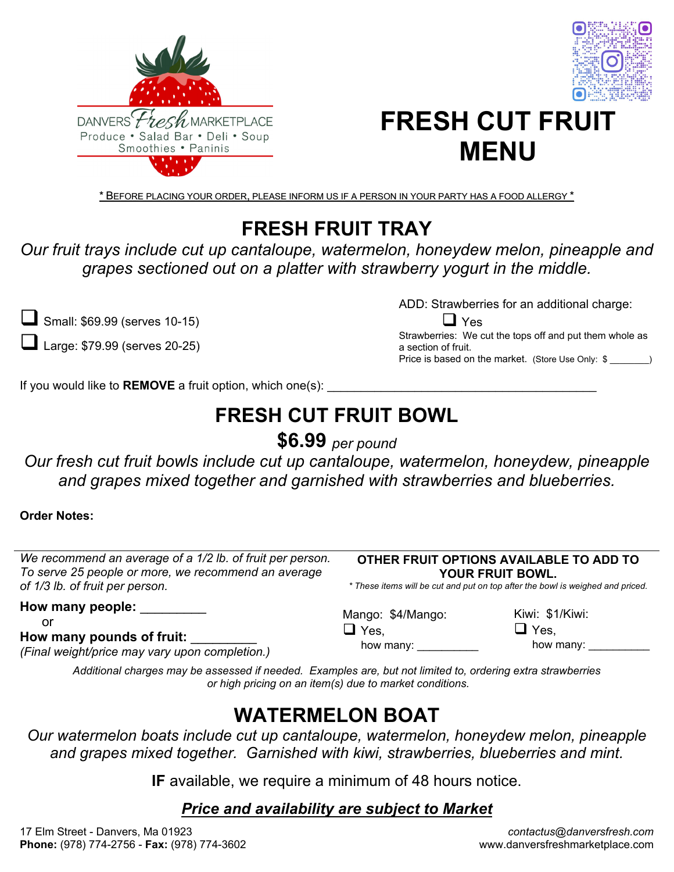



# **FRESH CUT FRUIT MENU**

\* BEFORE PLACING YOUR ORDER, PLEASE INFORM US IF A PERSON IN YOUR PARTY HAS A FOOD ALLERGY \*

## **FRESH FRUIT TRAY**

*Our fruit trays include cut up cantaloupe, watermelon, honeydew melon, pineapple and grapes sectioned out on a platter with strawberry yogurt in the middle.* 

Small: \$69.99 (serves 10-15)

 $\blacksquare$  Large: \$79.99 (serves 20-25)

ADD: Strawberries for an additional charge:

 $\Box$  Yes Strawberries: We cut the tops off and put them whole as a section of fruit. Price is based on the market. (Store Use Only: \$  $\qquad \qquad$  )

If you would like to **REMOVE** a fruit option, which one(s):

## **FRESH CUT FRUIT BOWL**

**\$6.99** *per pound*

*Our fresh cut fruit bowls include cut up cantaloupe, watermelon, honeydew, pineapple and grapes mixed together and garnished with strawberries and blueberries.* 

**Order Notes:**

| We recommend an average of a 1/2 lb. of fruit per person.<br>To serve 25 people or more, we recommend an average<br>of 1/3 lb. of fruit per person. | OTHER FRUIT OPTIONS AVAILABLE TO ADD TO<br>YOUR FRUIT BOWL.<br>* These items will be cut and put on top after the bowl is weighed and priced. |                                               |
|-----------------------------------------------------------------------------------------------------------------------------------------------------|-----------------------------------------------------------------------------------------------------------------------------------------------|-----------------------------------------------|
| How many people: _______<br>or<br>How many pounds of fruit:<br>(Final weight/price may vary upon completion.)                                       | Mango: \$4/Mango:<br>$\Box$ Yes,<br>how many:                                                                                                 | Kiwi: \$1/Kiwi:<br>$\sqcup$ Yes,<br>how many: |
| Ashitana abanya ne ya kamanana ili nanakala Funnyaka nye kutingitani ta nyelayina nyina tunyikawina                                                 |                                                                                                                                               |                                               |

*Additional charges may be assessed if needed. Examples are, but not limited to, ordering extra strawberries or high pricing on an item(s) due to market conditions.*

### **WATERMELON BOAT**

*Our watermelon boats include cut up cantaloupe, watermelon, honeydew melon, pineapple and grapes mixed together. Garnished with kiwi, strawberries, blueberries and mint.* 

**IF** available, we require a minimum of 48 hours notice.

### *Price and availability are subject to Market*